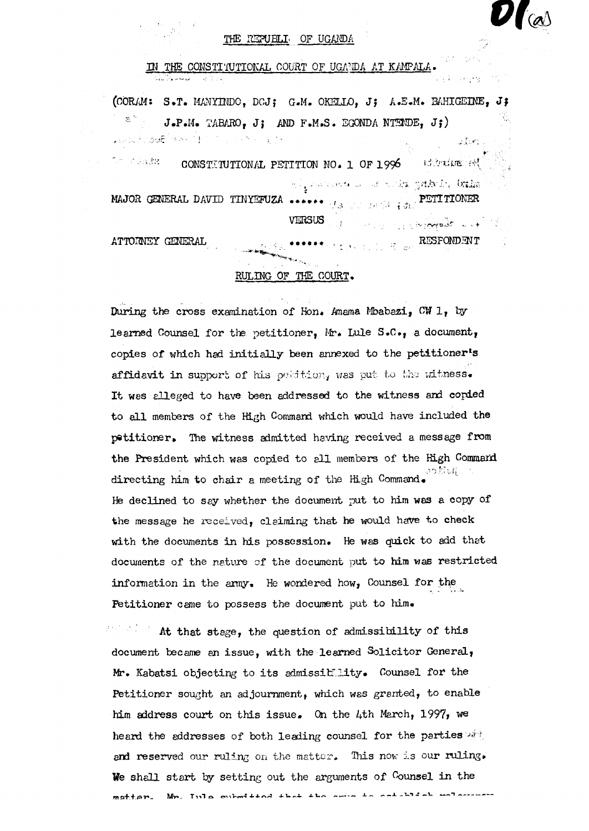## THE REPUBLIC OF UGANDA

## **IN THE CONSTITUTIONAL COURT OF UGANDA AT KAMPALA.**

**(CORAM: S.T. MANYINDO, DCJ; G.M. OKELLO, J; A.E.M. BAHIGEINE, J; J.P.M. TABARO, J; AND F.M.S. EGONDA NTENDE, J;)**  AND STOCK WAS THE STOLEN BY Ulari I 7. 动脉就。 **CONSTITUTIONAL PETITION NO. 1 OF 1996** Editative of nd jamiineste un as nooks, gebbydri bisko

**MAJOR GENERAL DAVID TINYEFUZA ..................................... PETITIONER VERSUS -**

**ATTORNEY GENERAL .........................................................................**RESPONDENT

## **RULING OF THE COURT.**

**During the cross examination of Hon. Amama Mbabazi, CW 1, by learned Counsel for the petitioner , Mr. Lule S.C , a document,**  copies of which had initially been annexed to the petitioner's affidavit in support of his position, was put to the witness. It was alleged to have been addressed to the witness and copied to all members of the High Command which would have included the **petitioner . The witness admitted having received a message from**  the President which was copied to all members of the High Command directing him to chair a meeting of the High Command. **He declined t o say whether the document put t o him was a copy of**  the message he received, claiming that he would have to check with the documents in his possession. He was quick to add that documents of the nature of the document put to him was restricted information in the army. He wondered how, Counsel for the Petitioner came to possess the document put to him.

At that stage, the question of admissibility of this **document became an issue , with the learned Solicito r General, Mr. Kabatsi objecting to it s admissibility . Counsel for the**  Petitioner sought an adjournment, which was granted, to enable **him address court on this issue . On the 4th March, 1997, we**  heard the addresses of both leading counsel for the parties and reserved our ruling on the matter. This now is our ruling. We shall start by setting out the arguments of Counsel in the matter. Mn. Inla submitted that the onus to establish welcomen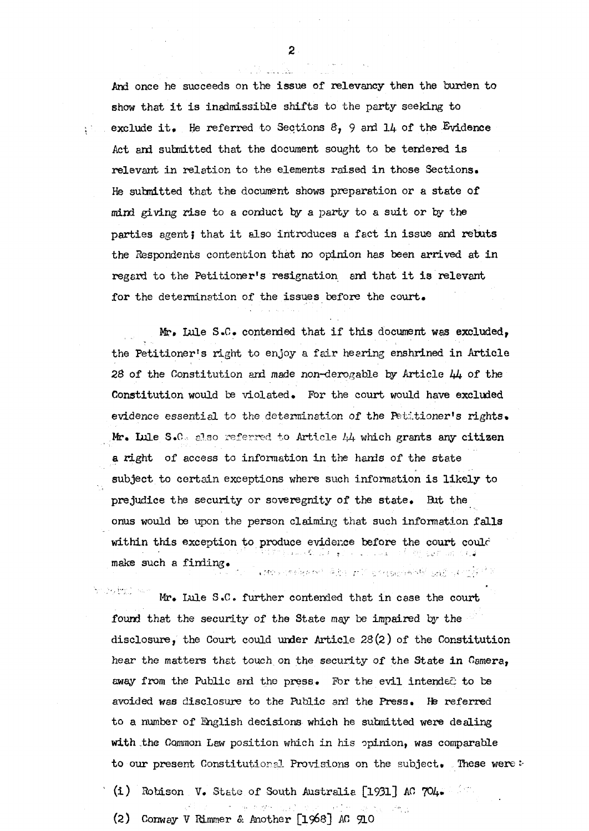And once he succeeds on the issue of relevancy then the burden to show that it is inadmissible shifts to the party seeking to exclude it. He referred to Sections 8, 9 and 14 of the Evidence Act and submitted that the document sought to be tendered is **relevant i n relation t o the elements raised i n those Sections.**  He submitted that the document shows preparation or a state of **mind giving ris e to a conduct by a party to a suit or by the partie s agent J that i t also introduces a fac t i n issue and rebuts the Respondents contention that no opinion has been arrived at i n**  regard to the Petitioner's resignation and that it is relevant for the determination of the issues before the court.

**Mr. Lule S.G. contended that i f this document was excluded,**  the Petitioner's right to enjoy a fair hearing enshrined in Article 28 of the Constitution and made non-derogable by Article 44 of the **Constitution would be violated . For the court would have excluded evidence essentia l to the determination of the Petitioner's rights.**  Mr. Lule S.C. also referred to Article 44 which grants any citizen a right of access to information in the hands of the state subject to certain exceptions where such information is likely to **prejudice the security or soveregnity of the state . But the onus would be upon the person claiming that such information falls**  within this exception to produce evidence before the court could س بن من محمد الله عليه الله عليه الله عليه الله الله من الله عليه الله عليه الله عليه الله عليه ال **make such a finding .**   $\pm 200$  superfigure excit  $\langle \hat{a} | \hat{b} \rangle$  ,  $\gamma_{\rm eff}$  in a regarded every specific control of  $\hat{a}$ 

boro imil Mr. Lule S.C. further contended that in case the court **found that the security of the State may be impaired by the disclosure , the Court could under Article 23(2) of the Constitution hear the matters that touch on the security of the State i n Camera,**  away from the Public and the press. For the evil intended to be **avoided was disclosur e to the Public and the Press. He referred to a number of English decisions which he submitted were dealing**  with the Common Law position which in his opinion, was comparable to our present Constitutional Provisions on the subject. These were :-

**( i )** Robison **V. State of South Australia [1931] AC 704.** 

**(2) Conway V Rimmer & Another [1968] AC 910**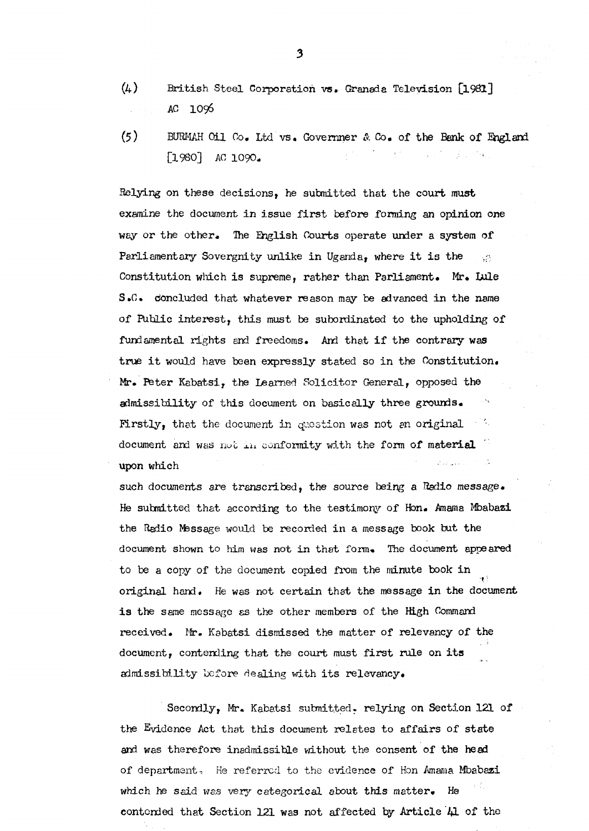- **(4) British Stee l Corporation vs. Granada Television [1981] AC 1096**
- **(5) BURMAH Oil Co, Ltd vs. Governner &, Co. of the Bank of England [1980] AC 1090.**

**Relying on these decisions, he submitted that the court must**  examine the document in issue first before forming an opinion one **way or the other . The English Courts operate under a system of**  Parliamentary Sovergnity unlike in Uganda, where it is the  $\sim 2$ **Constitution which i s supreme, rather than Parliament. Mr. Lule**  S.C. concluded that whatever reason may be advanced in the name **of Public interest, this must be subordinated to the upholding of**  fundamental rights and freedoms. And that if the contrary was **true i t would have been expressly stated so i n the Constitution.**  Mr. Peter Kabatsi, the Learned Solicitor General, opposed the **admissibilit y of this document on basicall y three grounds. Firstly , that the document in question was not** *en* **original document and was not in conformity with the form of material upon which** 

**such documents are transcribed, the source being a Radio message. He submitted that according to the testimony of Hon. Amama Mbabazi**  the Radio Message would be recorded in a message book but the **document shown to him was not i n that form. The document appeared**  to be a copy of the document copied from the minute book in **original hand.** He was not certain that the message in the document **i s the same message as the other members of the High Command received. Mr. Kabatsi dismissed the matter of relevancy of the**  document, contending that the court must first rule on its admissibility before dealing with its relevancy.

**Secondly, Mr. Kabatsi submitted, relying on Section 121 of the Evidence Act that this document relates to affairs of state and was therefore inadmissible without the consent of the head of department. H**e **referred** to the **evidence of Hon Amama Mbabazi which he said was very categorical about this matter. He**  contended that Section 121 was not affected by Article  $\mu$  of the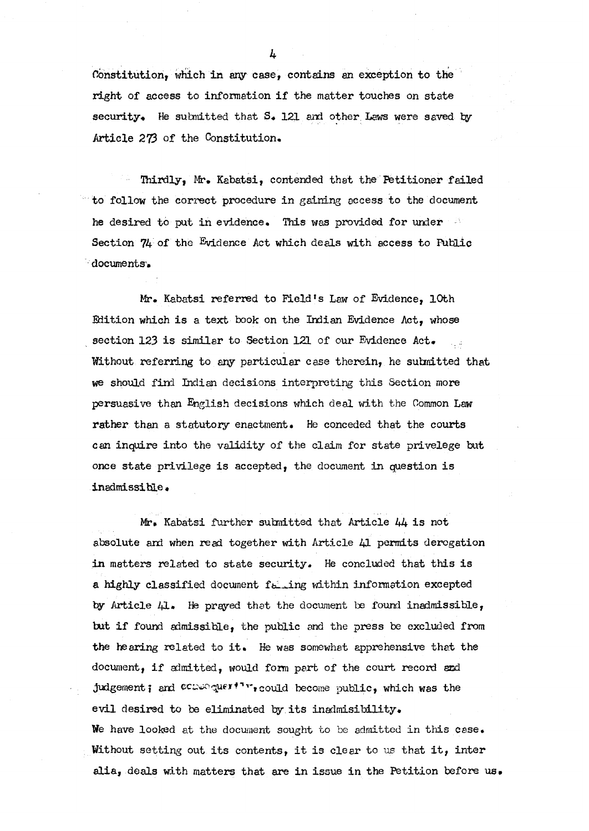**Constitution, which in any case, contains an exception to the** right of access to information if the matter touches on state **security. He submitted that S. 121 and other Laws were saved by Article 273 of the Constitution.** 

Thirdly, Mr. Kabatsi, contended that the Petitioner failed **to follow the correct procedure i n gaining access to the document**  he desired to put in evidence. This was provided for under Section 74 of the Evidence Act which deals with access to Public **documents.** 

Mr. Kabatsi referred to Field's Law of Evidence, 10th **Edition which i s a text book on the Indian Evidence Act, whose section 123 i s similar to Section 121 of our Evidence Act. Without referring to any particular case therein, he submitted that we should find Indian decisions interpreting this Section more persuasive than English decisions which deal with the Common Law rather than a statutory enactment. He conceded that the courts**  can inquire into the validity of the claim for state privelege but **once stat e privileg e i s accepted, the document i n question i s inadmissible.** 

**Mr. Kabatsi further submitted that Articl e 44 i s not absolute and when read together with Articl e 41 permits derogation i n matters related to stat e security . He concluded that this i s**  a highly classified document failing within information excepted **by Articl e 41 . He prayed that the document be found inadmissible , but i f found admissible, the public and the press be excluded from**  the hearing related to it. He was somewhat apprehensive that the document, if admitted, would form part of the court record and **judgement;** and  ${}^{\text{CCQ}}}$  queri<sup>t</sup> is could become public, which was the **evi l desired to be eliminated by it s inadmisibility . We have looked at the document sought to** be **admitted i n this case . Without setting out its contents, it is clear to us that it, inter alia , deals with matters that are i n issue i n the Petition before us.**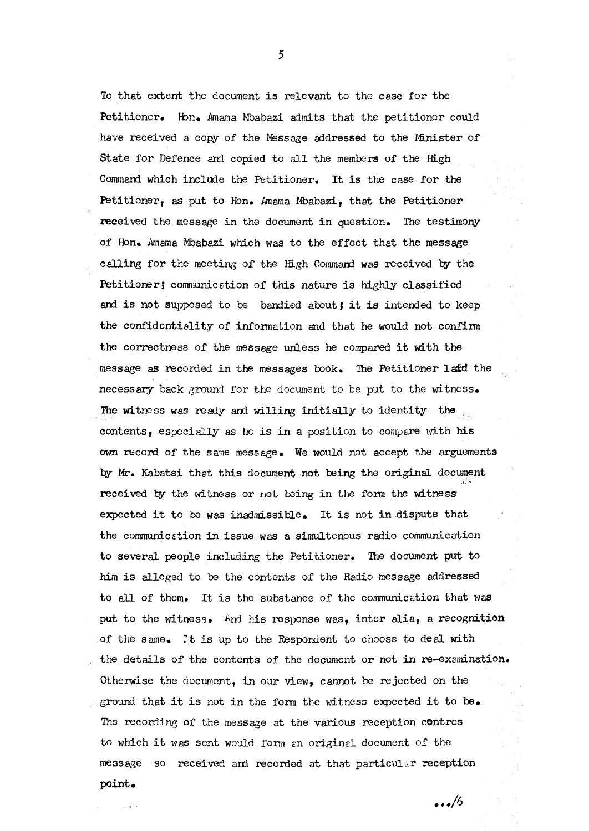To that extent the document is relevant to the case for the Petitioner. Hon. Amama Mbabazi admits that the petitioner could have received a copy of the Message addressed to the Minister of State for Defence and copied to all the members of the High **Command which include the Petitioner . It is the case for the**  Petitioner, as put to Hon. Amama Mbabazi, that the Petitioner **received the message i n the document i n question. The testimony of Hon. Amama Mbabazi which was to the effec t that the message calling for the meeting of the High Command was received by the Petitioner ; communication of this nature is highly classifie d**  and is not supposed to be bandied about; it is intended to keep the confidentiality of information and that he would not confirm the correctness of the message unless he compared it with the **message as recorded i n the messages book. The Petitione r lai d the necessary** back ground for the document to be put to the witness. The witness was ready and willing initially to identity the contents, especially as he is in a position to compare with his **own record of the same message. We would not accept the arguments by Mr. Kabatsi that this document not being the original document**  received by the witness or not being in the form the witness **expected it to be was inadmissible.** It is not in dispute that **the communication i n issue was a simultaneous radio communication to several people including the Petitioner . The document put t o**  him is alleged to be the contents of the Radio message addressed **to al l of them. It i s the substance of the communication that was**  put to the witness. And his response was, inter alia, a recognition **of the same.** *It* **is up t o the Respondent to choose to deal with the details of the contents of the document or not i n re-examination.**  Otherwise the document, in our view, cannot be rejected on the **ground that i t i s not i n the form the witness expected i t to be. The recording of the message at the various reception centres**  to which it was sent would form an original document of the **message so received and recorded at that particular reception point.** 

5

 $\ldots/6$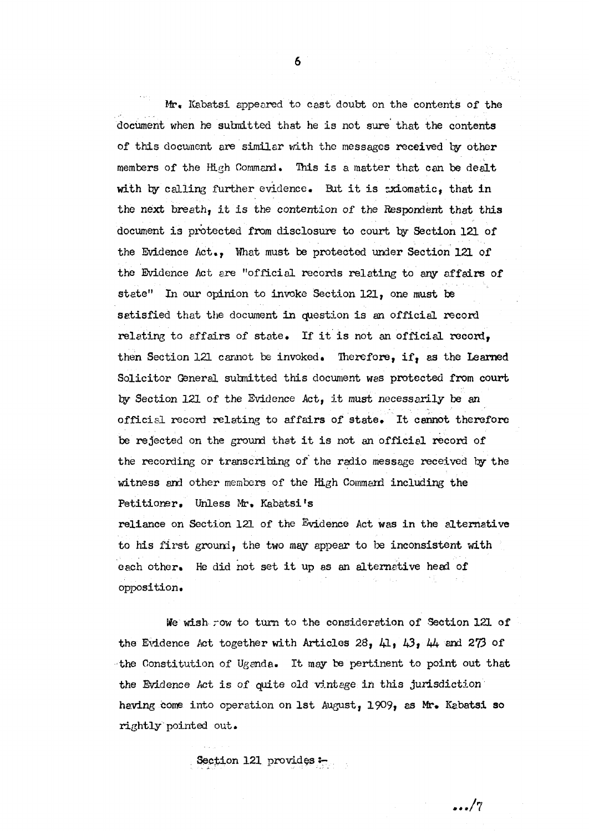**Mr, Kabatsi appeared to cast doubt on the contents of the document when he submitted that he i s not sure that the contents of this document are similar with the messages received by other members of the High Command. This i s a matter that can be dealt**  with by calling further evidence. But it is sxiomatic, that in the next breath, it is the contention of the Respondent that this **document i s protected from disclosur e to court by Section 121 of the Evidence Act. , What must be protected under Section 121 of**  the Evidence Act are "official records relating to any affairs of **state" In our opinion to invoke Section 121, one must be**  satisfied that the document in question is an official record **relating t o affair s of state . If i t i s not an officia l record, then Section 121 cannot be invoked. Therefore, if, as the Learned**  Solicitor General submitted this document was protected from court **by Section 121 of the Evidence Act, i t must necessaril y be an officia l record relating to affair s of state . It cannot therefore**  be rejected on the ground that it is not an official record of **the recording or transcribing of the radio message received by the witness and other members of the High Command including the Petitioner . Unless Mr. Kabatsi's**  reliance on Section 121 of the Evidence Act was in the alternative **to his first ground, the two may appear to be inconsistent with each other . He did not se t i t up as an alternative head of opposition.** 

We wish row to turn to the consideration of Section 121 of **the Evidence Act together with Article s 28, 41 , 43 , 44 and 273** *of*  **the Constitution of Uganda. It may be pertinent to point out that**  the Evidence Act is of quite old vintage in this jurisdiction **having come into operation on 1st August, 1909, as Mr. Kabatsi so rightl y pointed out.** 

.../7

Section 121 provides: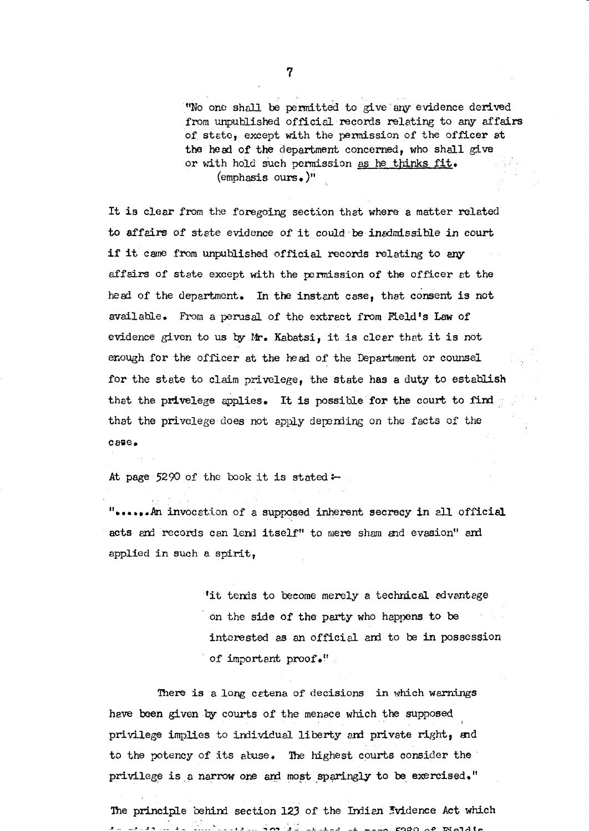**"No one shall be permitted to give any evidence derived**  from unpublished official records relating to any affairs **of state , except with the permission of the office r at the head of the department concerned, who shall give or with hold such permission as he thinks fit . (emphasis ours.)"** 

It is clear from the foregoing section that where a matter related **t o affair s of stat e evidence of i t could be inadmissible i n court**  if it came from unpublished official records relating to any **affair s of stat e except with the permission of the office r at the head of the department. In the instant case , that consent i s not available . From a perusal of the extract from Field's Law of evidence given to us by Mr. Kabatsi, i t i s clea r that i t i s not enough for the office r at the head of the Department or counsel for the stat e t o claim privelege , the stat e has a duty t o establish**  that the privelege applies. It is possible for the court to find **that the privelege does not apply depending on the facts of the case .** 

**At page** 5290 **of the book i t i s stated:-**

"......An invocation of a supposed inherent secrecy in all official acts and records can lend itself" to mere sham and evasion" and **applied i n such a spirit,** 

> 'it tends to become merely a technical advantage on the side of the party who happens to be interested as an official and to be in possession **of important proof."**

There is a long catena of decisions in which warnings **have been given by courts of the menace which the supposed**  privilege implies to individual liberty and private right, and to the potency of its abuse. The highest courts consider the **privileg e i s a narrow one and most sparingly to be exercised."** 

The principle behind section 123 of the Indian Evidence Act which  $\therefore$   $\therefore$   $\therefore$   $\therefore$   $\therefore$   $\therefore$   $\therefore$   $\therefore$   $\therefore$   $\therefore$   $\therefore$   $\therefore$   $\therefore$   $\therefore$   $\therefore$   $\therefore$   $\therefore$   $\therefore$   $\therefore$   $\therefore$   $\therefore$   $\therefore$   $\therefore$   $\therefore$   $\therefore$   $\therefore$   $\therefore$   $\therefore$   $\therefore$   $\therefore$   $\therefore$   $\therefore$   $\therefore$   $\therefore$   $\therefore$   $\therefore$   $\therefore$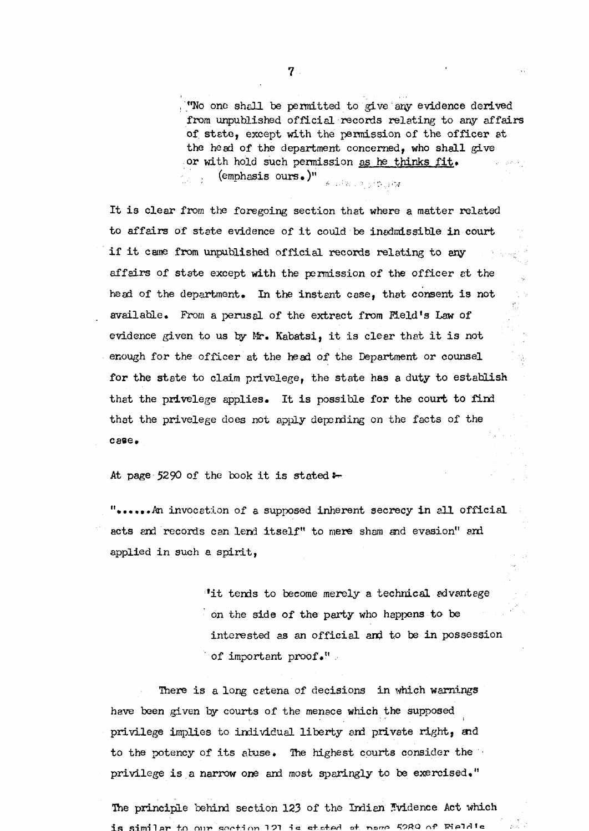**"No one shall be permitted to give any evidence derived**  from unpublished official records relating to any affairs **of state , except with the permission of the office r at the head of the department concerned, who shall give or with hold such permission as he thinks fit . (emphasis ours.)"**  Division of the 194

It is clear from the foregoing section that where a matter related **to affair s of stat e evidence of i t could be inadmissible i n court**  if it came from unpublished official records relating to any **affair s of stat e except with the permission of the office r at the head of the department. In the instant case , that consent i s not available . From a perusal of the extract from Field's Law of evidence given to us by Mr. Kabatsi, i t i s clea r that i t i s not**  enough for the officer at the head of the Department or counsel for the state to claim privelege, the state has a duty to establish that the privelege applies. It is possible for the court to find **that the privelege does not apply depending on the facts of the case .** 

At page 5290 of the book it is stated:

**"......An invocation of a supposed inherent secrecy in all official** acts and records can lend itself" to mere sham and evasion" and **applied i n such a spirit,** 

> 'it tends to become merely a technical advantage **on the side of the party who happens to be** interested as an official and to be in possession **of important proof."**

There is a long catena of decisions in which warnings **have been given by courts of the menace which the supposed**  privilege implies to individual liberty and private right, and to the potency of its abuse. The highest courts consider the **privileg e i s a narrow one and most sparingly to be exercised."** 

**The principl e behind section 123 of the Indian Evidence Act which**  is similar to our section 121 is stated at page 5289 of Fieldie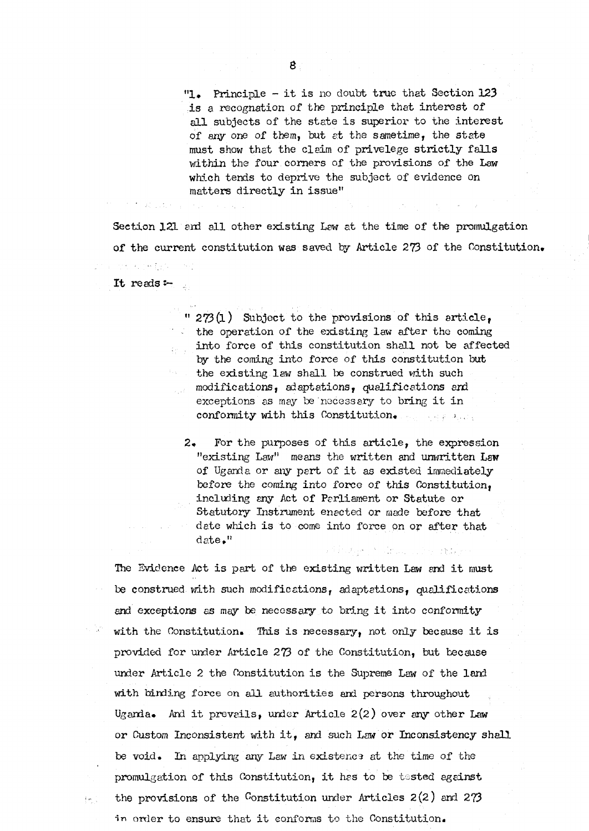**" 1 . Principle - i t i s no doubt true that Section 123**  is a recognation of the principle that interest of all subjects of the state is superior to the interest of any one of them, but at the same time, the state must show that the claim of privelege strictly falls **within the four corners of the provisions of the Law which tends to deprive the subject of evidence on**   $matters$  directly in issue"

**Section 121 and al l other existing Law at the time of the promulgation of the current constitution was saved by Articl e 273 of the Constitution.** 

**It reads:-**

**"** 273(1) Subject to the provisions of this article, **the operation of the existing law after the coming**  into force of this constitution shall not be affected by the coming into force of this constitution but **the existing law shall be construed with such modifications, adaptations, qualifications and**  exceptions as may be necessary to bring it in **conformity with this Constitution.**  Long Alexandr

**2 . For the purposes of this article , the expression "existing Law" means the written and unwritten Law of Uganda or any part of i t as existed immediately**  before the coming into force of this Constitution, **including any Act of Parliament or Statute or**  Statutory Instrument enacted or made before that date which is to come into force on or after that **date."** 

The Evidence Act is part of the existing written Law and it must **be construed with such modifications, adaptations, qualifications**  and exceptions as may be necessary to bring it into conformity with the Constitution. This is necessary, not only because it is **provided for under Article 273 of the Constitution, but because under Article 2 the Constitution i s the Supreme Law of the land with binding force on al l authoritie s and persons throughout**  Uganda. And it prevails, under Article 2(2) over any other Law **or Custom Inconsistent with it , and such Law or Inconsistency shall**  be void. In applying any Law in existence at the time of the promulgation of this Constitution, it has to be tested against **the provisions of the Constitution under Article s 2(2 ) and 273**  in order to ensure that it conforms to the Constitution.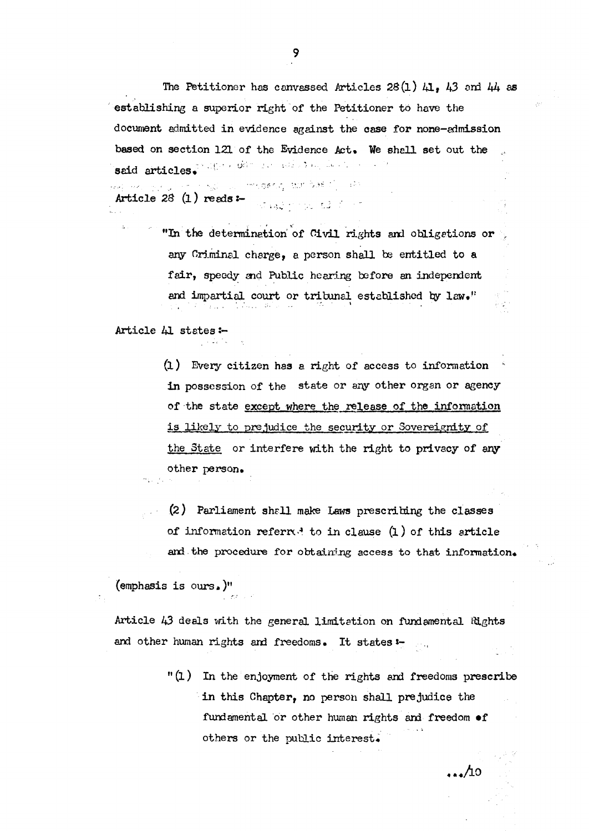**The Petitione r has canvassed Article s 28(1) 41 , 43 and 44 as**  establishing a superior right of the Petitioner to have the **document admitted i n evidence against the case for none-admission**  based on section 121 of the Evidence Act. We shall set out the **said articles.** 

**Article** *28* **(1) reads:** i medianog alamban (1) (199

> **"In the determination of Civil rights and obligations or any Criminal charge, a person shall be entitled to a fair , speedy and Public hearing before an independent and impartial court or tribunal established by law."**

**Articl e 41 state s :-**

**(1)** Every citizen has a right of access to information **i n possession of the stat e or any other organ or agency of the stat e except where the releas e of, the information i s likel y to prejudice the security or Sovereignity of the State or interfer e with the right t o privacy of any other person.** 

**(2) Parliament shall make Laws prescribing the classe s of information referred to in clause (1) of this article** and the procedure for obtaining access to that information.

**(emphasis i s ours.)"** 

**Article 43 deals with the general limitation on fundamental Rights and other human rights and freedoms. It states: -**

> **" (1) In the enjoyment of the rights and freedoms prescribe i n this Chapter, no person shall prejudice the fundamental or other human rights and freedom of others or the public interest.**

> > . . . 40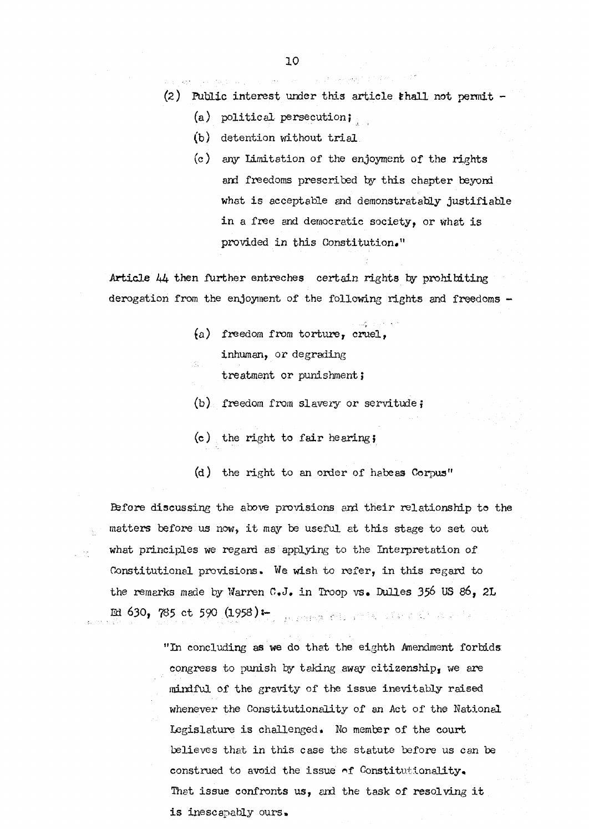**(2) Public interest under this articl e shal l not permit -**

(a) political persecution;

**(b) detention without tria l** 

**(c) any Limitation of the enjoyment of the rights and freedoms prescribed by this chapter beyond what i s acceptable and demonstrabl y justifiabl e**  in a free and democratic society, or what is provided in this Constitution."

**Article 44 then further entreches certain rights by prohibiting derogation from the enjoyment of the following rights and freedoms -**

> **(a) freedom from torture , cruel, inhuman, or degrading treatment or punishment}**

**(b) freedom from slavery or servitude;** 

**(c) the right to fai r hearing;** 

**(d) the right to an order of habeas Corpus"** 

Before discussing the above provisions and their relationship to the matters before us now, it may be useful at this stage to set out what principles we regard as applying to the Interpretation of **Constitutional provisions. We wish to refer , i n this regard to**  the remarks made by Warren C.J. in Troop vs. Dulles 356 US 86, 2L **Ed 630, 785 c t 590 (1958):-**

in p

**"In concluding as we do that the eighth Amendment forbids: congress to punish by taking away citizenship, we are**  mindful of the gravity of the issue inevitably raised **whenever the Constitutionality of an Act of the National Legislature i s challenged. No member of the court believe s that i n this case the statut e before us can be construed to avoid the issue o***f* **Constitutionality.**  That issue confronts us, and the task of resolving it **i s inescapably ours.**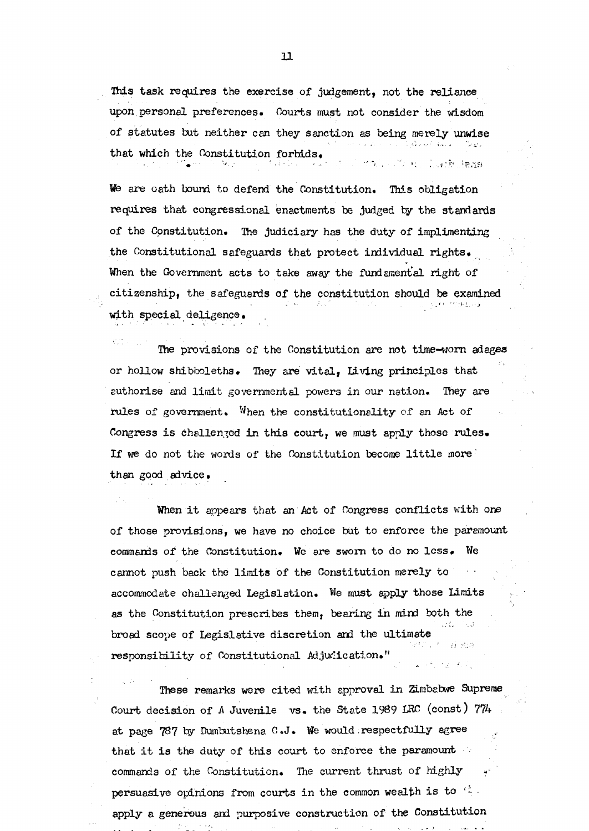This task requires the exercise of judgement, not the reliance **upon personal preferences. Courts must not consider the wisdom of statute s but neithe r can they sanction as being merely unwise that which the Constitution forbids.**  Luir Inne

**We are oath bound to defend the Constitution. This obligation requires that congressional enactments be judged by the standards**  of the Constitution. The judiciary has the duty of implimenting **the Constitutional safeguards that protect individual rights.**  When the Government acts to take away the fundamental right of **citizenship, the safeguards of the constitution should be examined with special deligence .** 

**The provisions of the Constitution are not time-worn adages or hollow shibboleths. They are vital , Living principle s that**  authorise and limit governmental powers in our nation. They are **rules** of government. When the constitutionality of an Act of Congress is challenged in this court, we must apply those rules. If we do not the words of the Constitution become little more **than good advice.** 

When it appears that an Act of Congress conflicts with one of those provisions, we have no choice but to enforce the paramount **commands of the Constitution. We are sworn to do no less . We cannot push back the limits of the Constitution merely to accommodate challenged Legislation. We must apply those Limits**  as the Constitution prescribes them, bearing in mind both the **broad scope of Legislative discretion and the ultimate responsibilit y of Constitutional Adjudication."** 

These remarks were cited with approval in Zimbabwe Supreme **Court decision of A Juvenile vs. the State 1989 LRC (const) 774**  at page 787 by Dumbutshena C.J. We would respectfully agree that it is the duty of this court to enforce the paramount **commands of the Constitution. The current thrust of highly persuasive opinions from courts in the common wealth is to**  $\in$ **apply a generous and purposive construction of the Constitution**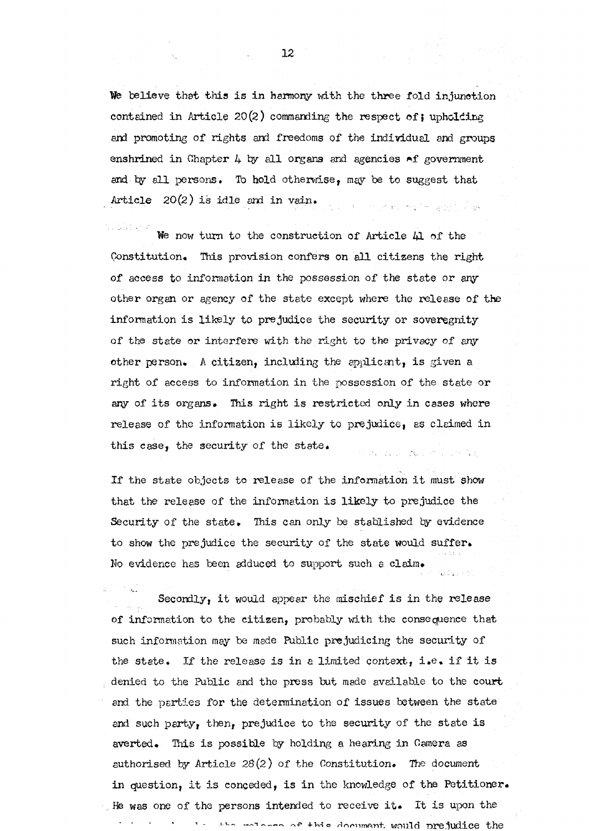We believe that this is in harmony with the three fold injunction contained in Article 20(2) commanding the respect of; upholding **and promoting of rights and freedoms of the individual and groups**  enshrined in Chapter 4 by all organs and agencies of government and by all persons. To hold otherwise, may be to suggest that Article  $20(2)$  is idle and in vain. as the project with a service large

u dan s We now turn to the construction of Article 41 of the Constitution. This provision confers on all citizens the right **of access to information i n the possession of the stat e or any other organ or agency of the stat e except where the releas e of the**  information is likely to prejudice the security or soveregnity **of the stat e or interfer e with the right to the privacy of any other person. A citizen , including the applicant, i s given a right of access to information i n the possession of the stat e or**  any of its organs. This right is restricted only in cases where **release of the information i s likel y to prejudice, as claimed i n this case , the security of the state .** 

If the state objects to release of the information it must show **that the releas e of the information i s likel y t o prejudice the**  Security of the state. This can only be stablished by evidence **to show the prejudice the security of the stat e would suffer . No evidence has been adduced to support such a claim.** 

a di Panas Secondly, it would appear the mischief is in the release of information to the citizen, probably with the consequence that **such information may be made Public prejudicing the security of the state . If the releas e i s i n a limited context, i.e . i f i t i s denied to the Public and the press but made available to the court**  and the parties for the determination of issues between the state and such party, then, prejudice to the security of the state is **averted. This i s possible by holding a hearing i n Camera as authorised by Articl e** *28(2)* **of the Constitution. The document**  in question, it is conceded, is in the knowledge of the Petitioner. **He was one of the persons intended to receive it. It is upon the of this document** would prejudice **the**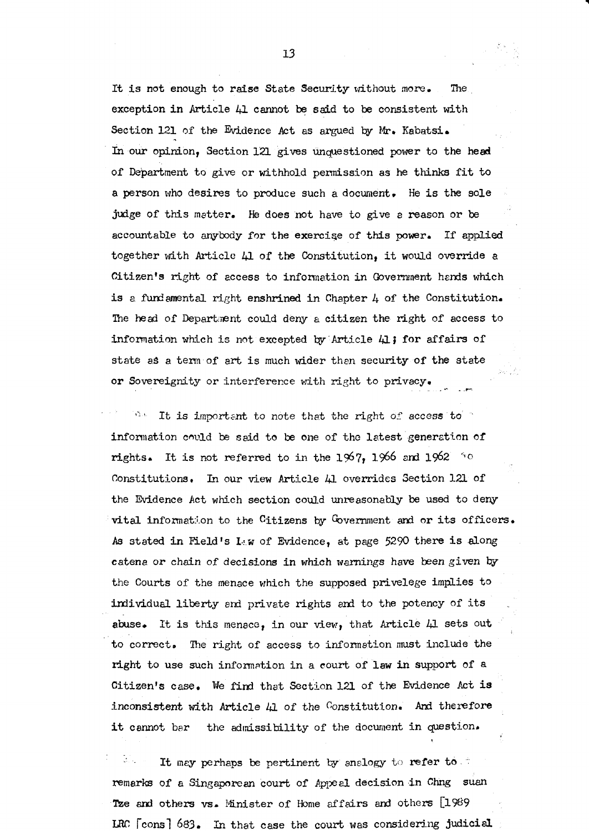It is not enough to raise State Security without more. The **exception in Article** 41 cannot be said to be consistent with **Section 121 of the Evidence Act as argued by Mr. Kabatsi.**  In our opinion, Section 121 gives unquestioned power to the head of Department to give or withhold permission as he thinks fit to a person who desires to produce such a document. He is the sole **judge of this matter. He does not have to give a reason or be**  accountable to anybody for the exercise of this power. If applied together with Article 41 of the Constitution, it would override a **Citizen's right of access to information i n Government hands which**  is a fundamental right enshrined in Chapter 4 of the Constitution. The head of Department could deny a citizen the right of access to **information which i s not excepted by Articl e 41; for affair s of**  state as a term of art is much wider than security of the state or Sovereignity or interference with right to privacy.

 $\sqrt{2}$  ,  $\sqrt{2}$ **It is important to note that the right** *of* **access to**  information could be said to be one of the latest generation of **rights.** It is not referred to in the  $1\%$ 7, 1966 and  $1962$  <sup>60</sup> Constitutions. In our view Article 41 overrides Section 121 of **the Evidence Act which section could unreasonably** be **used to deny**  vital information to the Citizens by Government and or its officers. As stated in Field's Law of Evidence, at page 5290 there is along catena or chain of decisions in which warnings have been given by the Courts of the menace which the supposed privelege implies to individual liberty and private rights and to the potency of its abuse. It is this menace, in our view, that Article 41 sets out **t o correct. The right of access to information must include the**  right to use such information in a court of law in support of a **Citizen's case . We find that Section 121 of the Evidence Act i s**  inconsistent with Article 41 of the Constitution. And therefore it cannot bar the admissibility of the document in question.

It may perhaps be pertinent by analogy to refer to remarks of a Singaporean court of Appeal decision in Chng suan **Tze and others** vs . **Minister of Home affair s and others [1989 LRC [c**ons] **683. In that case the court was considering judicia l**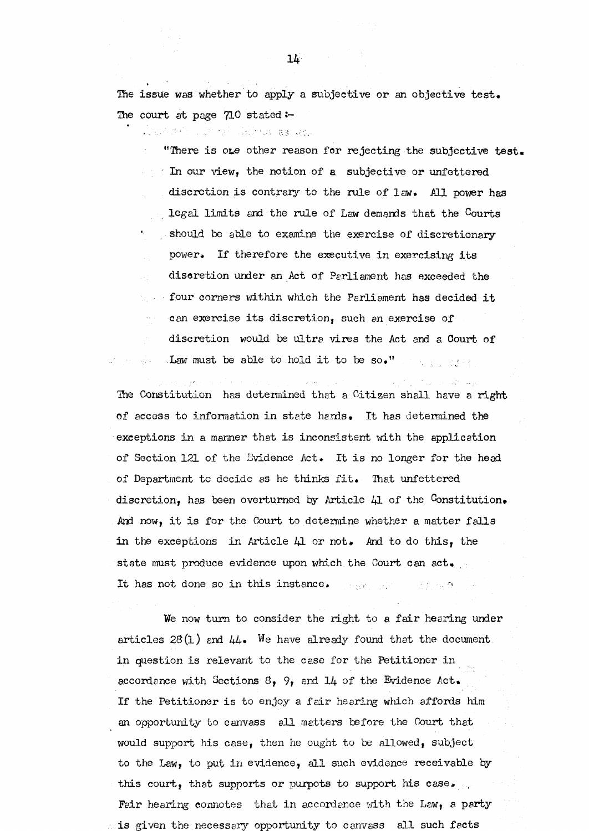**The issue was whether to apply a subjective or an objective test . The court at page 710 stated** 

The Commission of the Commission of the Commission of the Commission of the Commission of the Commission of the

"There is one other reason for rejecting the subjective test. **In our view, the notion of a subjective or unfettered discretion i s contrary to the rule of law. All power has lega l limits and the rule of Law demands that the Courts**  should be able to examine the exercise of discretionary power. If therefore the executive in exercising its **discretion under an Act of Parliament has exceeded the four corners within which the Parliament has decided it can exercis e it s discretion, such an exercis e of**   $\bar{\lambda}$  and  $\bar{\lambda}$ discretion would be ultra vires the Act and a Court of **Law must be able to hold it to be so."** 医反应 医粘液

**The Constitution has determined that a Citizen shall have a right of access to information i n stat e hands. It has determined the exceptions i n a manner that is inconsistent with the application of Section 121 of the Evidence Act. It i s no longer for the head**  of Department to decide as he thinks fit. That unfettered **discretion, has been overturned by Article 41 of the Constitution. And now, i t is for the Court to determine whether a matter falls i n the exceptions i n Article** 41 **or not. And to do this, the**  state must produce evidence upon which the Court can act. It has not done so in this instance. Conservation of the  $\mathbb{R}^n$  , we see  $\mathbb{R}^n$ 

We now turn to consider the right to a fair hearing under articles  $28(1)$  and  $44.$  We have already found that the document in question is relevant to the case for the Petitioner in **accordance with Sections 8, 9, and 14 of the Evidence Act.**  If the Petitioner is to enjoy a fair hearing which affords him an opportunity to canvass all matters before the Court that **would support his case , then he ought to be allowed, subject**  to the Law, to put in evidence, all such evidence receivable by **this court, that supports or purpots to support his case.**  Fair hearing connotes that in accordance with the Law, a party is given the necessary opportunity to canvass all such facts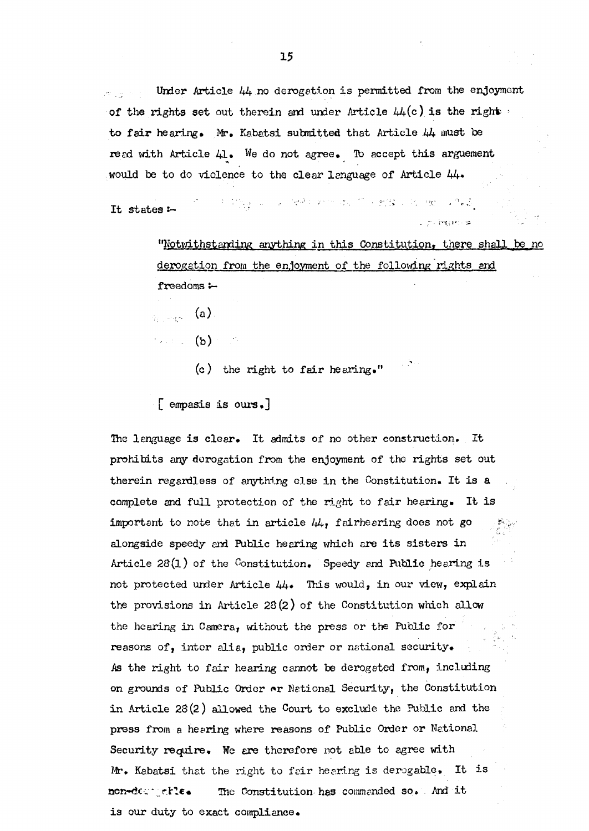Under Article 44 no derogation is permitted from the enjoyment **of the rights set** out therein and under Article  $44(c)$  is the right  $\cdot$ to fair hearing. Mr. Kabatsi submitted that Article 44 must be **read with Article 41 . We do not agree. To accept this argument**  would be to do violence to the clear language of Article  $44$ .

n digital and restricts in the mission of a set It states :-

> **"Notwithstanding anything i n this Constitution, there shall be no derogation from the enjoyment of the following rights and freedoms:—**

 $\mathcal{L}_{\text{max}}$  (a)

- **(b)** 
	- (c) the right to fair hearing."

**[ emphasis i s ours.]** 

**The language is clear . It admits of no other construction. It prohibits any derogation from the enjoyment of the rights se t out therein regardless of anything els e i n the Constitution. It is a**  complete and full protection of the right to fair hearing. It is **important to note that in article**  $44$ **, fairhearing does not go alongside speedy and Public hearing which are it s sister s i n**  Article 28(1) of the Constitution. Speedy and Public hearing is **not protected under Articl e 44. This would, i n our view, explain the provisions i n Article 28(2 ) of the Constitution which allow**  the hearing in Camera, without the press or the Public for reasons of, inter alia, public order or national security. As the right to fair hearing cannot be derogated from, including **on grounds of Public Order or National Security, the Constitution i n Articl e 28(2) allowed the Court t o exclude the Public and the press from a hearing where reasons of Public Order or National**  Security require. We are therefore not able to agree with Mr. Kabatsi that the right to fair hearing is derogable. It is **non-derogable. The Constitution has commanded so . And i t is our duty to exact compliance.**